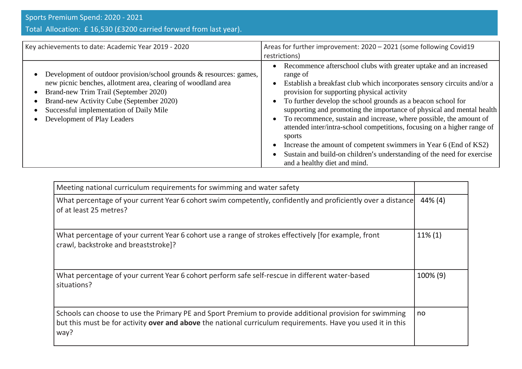## Total Allocation: £ 16,530 (£3200 carried forward from last year).

| Key achievements to date: Academic Year 2019 - 2020                                                                                                                                                                                                                                                 | Areas for further improvement: 2020 - 2021 (some following Covid19<br>restrictions)                                                                                                                                                                                                                                                                                                                                                                                                                                                                                                                                                                                                                                                       |
|-----------------------------------------------------------------------------------------------------------------------------------------------------------------------------------------------------------------------------------------------------------------------------------------------------|-------------------------------------------------------------------------------------------------------------------------------------------------------------------------------------------------------------------------------------------------------------------------------------------------------------------------------------------------------------------------------------------------------------------------------------------------------------------------------------------------------------------------------------------------------------------------------------------------------------------------------------------------------------------------------------------------------------------------------------------|
| Development of outdoor provision/school grounds & resources: games,<br>new picnic benches, allotment area, clearing of woodland area<br>Brand-new Trim Trail (September 2020)<br>Brand-new Activity Cube (September 2020)<br>Successful implementation of Daily Mile<br>Development of Play Leaders | Recommence afterschool clubs with greater uptake and an increased<br>٠<br>range of<br>Establish a breakfast club which incorporates sensory circuits and/or a<br>$\bullet$<br>provision for supporting physical activity<br>To further develop the school grounds as a beacon school for<br>$\bullet$<br>supporting and promoting the importance of physical and mental health<br>To recommence, sustain and increase, where possible, the amount of<br>$\bullet$<br>attended inter/intra-school competitions, focusing on a higher range of<br>sports<br>Increase the amount of competent swimmers in Year 6 (End of KS2)<br>٠<br>Sustain and build-on children's understanding of the need for exercise<br>and a healthy diet and mind. |

| Meeting national curriculum requirements for swimming and water safety                                                                                                                                                         |            |
|--------------------------------------------------------------------------------------------------------------------------------------------------------------------------------------------------------------------------------|------------|
| What percentage of your current Year 6 cohort swim competently, confidently and proficiently over a distance<br>of at least 25 metres?                                                                                         | 44% (4)    |
| What percentage of your current Year 6 cohort use a range of strokes effectively (for example, front<br>crawl, backstroke and breaststroke]?                                                                                   | $11\%$ (1) |
| What percentage of your current Year 6 cohort perform safe self-rescue in different water-based<br>situations?                                                                                                                 | 100% (9)   |
| Schools can choose to use the Primary PE and Sport Premium to provide additional provision for swimming<br>but this must be for activity over and above the national curriculum requirements. Have you used it in this<br>way? | no         |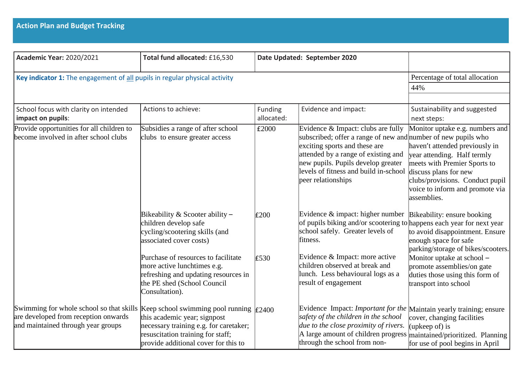| <b>Academic Year: 2020/2021</b>                                                                                                                                                         | Total fund allocated: £16,530                                                                                                                               | Date Updated: September 2020 |                                                                                                                                                                                                                                                                                  |                                                                                                                                                                                                                                                |
|-----------------------------------------------------------------------------------------------------------------------------------------------------------------------------------------|-------------------------------------------------------------------------------------------------------------------------------------------------------------|------------------------------|----------------------------------------------------------------------------------------------------------------------------------------------------------------------------------------------------------------------------------------------------------------------------------|------------------------------------------------------------------------------------------------------------------------------------------------------------------------------------------------------------------------------------------------|
| Key indicator 1: The engagement of all pupils in regular physical activity                                                                                                              |                                                                                                                                                             |                              |                                                                                                                                                                                                                                                                                  | Percentage of total allocation                                                                                                                                                                                                                 |
|                                                                                                                                                                                         |                                                                                                                                                             |                              |                                                                                                                                                                                                                                                                                  | 44%                                                                                                                                                                                                                                            |
|                                                                                                                                                                                         |                                                                                                                                                             |                              |                                                                                                                                                                                                                                                                                  |                                                                                                                                                                                                                                                |
| School focus with clarity on intended<br>impact on pupils:                                                                                                                              | Actions to achieve:                                                                                                                                         | <b>Funding</b><br>allocated: | Evidence and impact:                                                                                                                                                                                                                                                             | Sustainability and suggested<br>next steps:                                                                                                                                                                                                    |
| Provide opportunities for all children to<br>become involved in after school clubs                                                                                                      | Subsidies a range of after school<br>clubs to ensure greater access                                                                                         | £2000                        | Evidence & Impact: clubs are fully<br>subscribed; offer a range of new and number of new pupils who<br>exciting sports and these are<br>attended by a range of existing and<br>new pupils. Pupils develop greater<br>levels of fitness and build in-school<br>peer relationships | Monitor uptake e.g. numbers and<br>haven't attended previously in<br>year attending. Half termly<br>meets with Premier Sports to<br>discuss plans for new<br>clubs/provisions. Conduct pupil<br>voice to inform and promote via<br>assemblies. |
|                                                                                                                                                                                         | Bikeability & Scooter ability $-$<br>children develop safe<br>cycling/scootering skills (and<br>associated cover costs)                                     | E200                         | Evidence $&$ impact: higher number<br>of pupils biking and/or scootering to happens each year for next year<br>school safely. Greater levels of<br>fitness.                                                                                                                      | Bikeability: ensure booking<br>to avoid disappointment. Ensure<br>enough space for safe<br>parking/storage of bikes/scooters.                                                                                                                  |
|                                                                                                                                                                                         | Purchase of resources to facilitate<br>more active lunchtimes e.g.<br>refreshing and updating resources in<br>the PE shed (School Council<br>Consultation). | £530                         | Evidence & Impact: more active<br>children observed at break and<br>lunch. Less behavioural logs as a<br>result of engagement                                                                                                                                                    | Monitor uptake at school -<br>promote assemblies/on gate<br>duties those using this form of<br>transport into school                                                                                                                           |
| Swimming for whole school so that skills Keep school swimming pool running $\left  \epsilon \right $ 2400<br>are developed from reception onwards<br>and maintained through year groups | this academic year; signpost<br>necessary training e.g. for caretaker;<br>resuscitation training for staff;<br>provide additional cover for this to         |                              | Evidence Impact: Important for the Maintain yearly training; ensure<br>safety of the children in the school<br>due to the close proximity of rivers.<br>A large amount of children progress<br>through the school from non-                                                      | cover, changing facilities<br>(upkeep of) is<br>maintained/prioritized. Planning<br>for use of pool begins in April                                                                                                                            |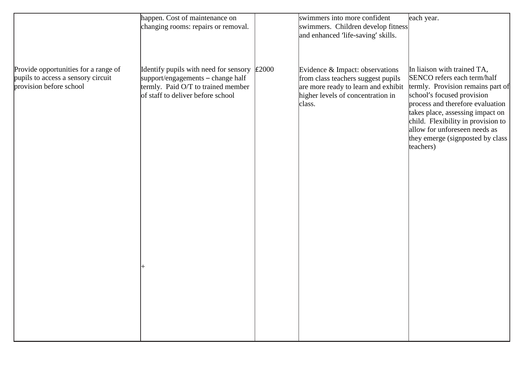|                                      | happen. Cost of maintenance on                      | swimmers into more confident        | each year.                         |
|--------------------------------------|-----------------------------------------------------|-------------------------------------|------------------------------------|
|                                      | changing rooms: repairs or removal.                 | swimmers. Children develop fitness  |                                    |
|                                      |                                                     | and enhanced 'life-saving' skills.  |                                    |
|                                      |                                                     |                                     |                                    |
|                                      |                                                     |                                     |                                    |
|                                      |                                                     |                                     |                                    |
| Provide opportunities for a range of | Identify pupils with need for sensory $\vert$ £2000 | Evidence & Impact: observations     | In liaison with trained TA,        |
| pupils to access a sensory circuit   | support/engagements - change half                   | from class teachers suggest pupils  | SENCO refers each term/half        |
| provision before school              | termly. Paid O/T to trained member                  | are more ready to learn and exhibit | termly. Provision remains part of  |
|                                      | of staff to deliver before school                   | higher levels of concentration in   | school's focused provision         |
|                                      |                                                     |                                     | process and therefore evaluation   |
|                                      |                                                     | class.                              |                                    |
|                                      |                                                     |                                     | takes place, assessing impact on   |
|                                      |                                                     |                                     | child. Flexibility in provision to |
|                                      |                                                     |                                     | allow for unforeseen needs as      |
|                                      |                                                     |                                     | they emerge (signposted by class   |
|                                      |                                                     |                                     | teachers)                          |
|                                      |                                                     |                                     |                                    |
|                                      |                                                     |                                     |                                    |
|                                      |                                                     |                                     |                                    |
|                                      |                                                     |                                     |                                    |
|                                      |                                                     |                                     |                                    |
|                                      |                                                     |                                     |                                    |
|                                      |                                                     |                                     |                                    |
|                                      |                                                     |                                     |                                    |
|                                      |                                                     |                                     |                                    |
|                                      |                                                     |                                     |                                    |
|                                      |                                                     |                                     |                                    |
|                                      |                                                     |                                     |                                    |
|                                      |                                                     |                                     |                                    |
|                                      |                                                     |                                     |                                    |
|                                      |                                                     |                                     |                                    |
|                                      |                                                     |                                     |                                    |
|                                      |                                                     |                                     |                                    |
|                                      |                                                     |                                     |                                    |
|                                      |                                                     |                                     |                                    |
|                                      |                                                     |                                     |                                    |
|                                      |                                                     |                                     |                                    |
|                                      |                                                     |                                     |                                    |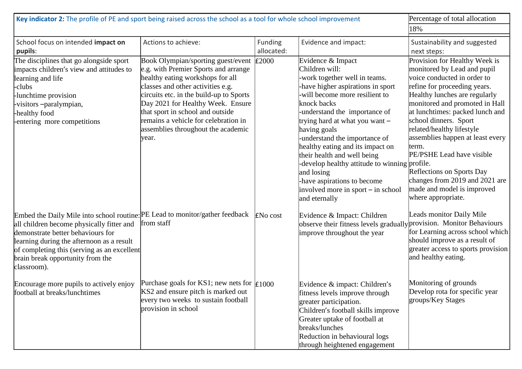| Key indicator 2: The profile of PE and sport being raised across the school as a tool for whole school improvement                                                                                                                                                                                            | Percentage of total allocation                                                                                                                                                                                                                                                                                                                                 |                       |                                                                                                                                                                                                                                                                                                                                                                                                                                                                                                        |                                                                                                                                                                                                                                                                                                                                                                                                                                                                                      |
|---------------------------------------------------------------------------------------------------------------------------------------------------------------------------------------------------------------------------------------------------------------------------------------------------------------|----------------------------------------------------------------------------------------------------------------------------------------------------------------------------------------------------------------------------------------------------------------------------------------------------------------------------------------------------------------|-----------------------|--------------------------------------------------------------------------------------------------------------------------------------------------------------------------------------------------------------------------------------------------------------------------------------------------------------------------------------------------------------------------------------------------------------------------------------------------------------------------------------------------------|--------------------------------------------------------------------------------------------------------------------------------------------------------------------------------------------------------------------------------------------------------------------------------------------------------------------------------------------------------------------------------------------------------------------------------------------------------------------------------------|
|                                                                                                                                                                                                                                                                                                               |                                                                                                                                                                                                                                                                                                                                                                |                       |                                                                                                                                                                                                                                                                                                                                                                                                                                                                                                        | 18%                                                                                                                                                                                                                                                                                                                                                                                                                                                                                  |
| School focus on intended impact on<br>pupils:                                                                                                                                                                                                                                                                 | Actions to achieve:                                                                                                                                                                                                                                                                                                                                            | Funding<br>allocated: | Evidence and impact:                                                                                                                                                                                                                                                                                                                                                                                                                                                                                   | Sustainability and suggested<br>next steps:                                                                                                                                                                                                                                                                                                                                                                                                                                          |
| The disciplines that go alongside sport<br>impacts children's view and attitudes to<br>learning and life<br>-clubs<br>-lunchtime provision<br>-visitors-paralympian,<br>healthy food<br>entering more competitions                                                                                            | Book Olympian/sporting guest/event<br>e.g. with Premier Sports and arrange<br>healthy eating workshops for all<br>classes and other activities e.g.<br>circuits etc. in the build-up to Sports<br>Day 2021 for Healthy Week. Ensure<br>that sport in school and outside<br>remains a vehicle for celebration in<br>assemblies throughout the academic<br>year. | £2000                 | Evidence & Impact<br>Children will:<br>-work together well in teams.<br>-have higher aspirations in sport<br>-will become more resilient to<br>knock backs<br>-understand the importance of<br>trying hard at what you want -<br>having goals<br>-understand the importance of<br>healthy eating and its impact on<br>their health and well being<br>-develop healthy attitude to winning profile.<br>and losing<br>-have aspirations to become<br>involved more in sport – in school<br>and eternally | Provision for Healthy Week is<br>monitored by Lead and pupil<br>voice conducted in order to<br>refine for proceeding years.<br>Healthy lunches are regularly<br>monitored and promoted in Hall<br>at lunchtimes: packed lunch and<br>school dinners. Sport<br>related/healthy lifestyle<br>assemblies happen at least every<br>term.<br>PE/PSHE Lead have visible<br>Reflections on Sports Day<br>changes from 2019 and 2021 are<br>made and model is improved<br>where appropriate. |
| Embed the Daily Mile into school routine: PE Lead to monitor/gather feedback<br>all children become physically fitter and<br>demonstrate better behaviours for<br>learning during the afternoon as a result<br>of completing this (serving as an excellent<br>brain break opportunity from the<br>classroom). | from staff                                                                                                                                                                                                                                                                                                                                                     | ENo cost              | Evidence & Impact: Children<br>observe their fitness levels gradually provision. Monitor Behaviours<br>improve throughout the year                                                                                                                                                                                                                                                                                                                                                                     | Leads monitor Daily Mile<br>for Learning across school which<br>should improve as a result of<br>greater access to sports provision<br>and healthy eating.                                                                                                                                                                                                                                                                                                                           |
| Encourage more pupils to actively enjoy<br>football at breaks/lunchtimes                                                                                                                                                                                                                                      | Purchase goals for KS1; new nets for $\vert \mathbf{f} \vert 1000$<br>KS2 and ensure pitch is marked out<br>every two weeks to sustain football<br>provision in school                                                                                                                                                                                         |                       | Evidence & impact: Children's<br>fitness levels improve through<br>greater participation.<br>Children's football skills improve<br>Greater uptake of football at<br>breaks/lunches<br>Reduction in behavioural logs<br>through heightened engagement                                                                                                                                                                                                                                                   | Monitoring of grounds<br>Develop rota for specific year<br>groups/Key Stages                                                                                                                                                                                                                                                                                                                                                                                                         |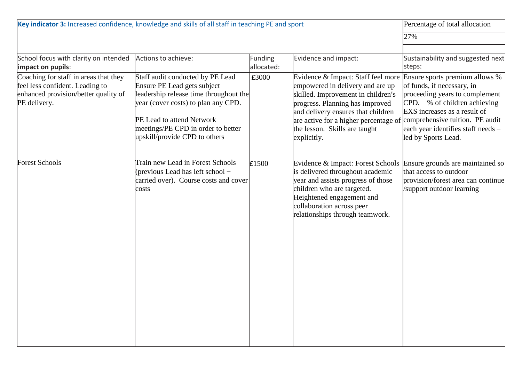| Key indicator 3: Increased confidence, knowledge and skills of all staff in teaching PE and sport                | Percentage of total allocation                                                                                         |            |                                                                                                                                                                                                                                        |                                                                                                                              |
|------------------------------------------------------------------------------------------------------------------|------------------------------------------------------------------------------------------------------------------------|------------|----------------------------------------------------------------------------------------------------------------------------------------------------------------------------------------------------------------------------------------|------------------------------------------------------------------------------------------------------------------------------|
|                                                                                                                  | 27%                                                                                                                    |            |                                                                                                                                                                                                                                        |                                                                                                                              |
|                                                                                                                  |                                                                                                                        |            |                                                                                                                                                                                                                                        |                                                                                                                              |
| School focus with clarity on intended                                                                            | Actions to achieve:                                                                                                    | Funding    | Evidence and impact:                                                                                                                                                                                                                   | Sustainability and suggested next                                                                                            |
| impact on pupils:                                                                                                |                                                                                                                        | allocated: |                                                                                                                                                                                                                                        | steps:                                                                                                                       |
| Coaching for staff in areas that they<br>feel less confident. Leading to<br>enhanced provision/better quality of | Staff audit conducted by PE Lead<br>Ensure PE Lead gets subject<br>leadership release time throughout the              | £3000      | Evidence & Impact: Staff feel more<br>empowered in delivery and are up<br>skilled. Improvement in children's                                                                                                                           | Ensure sports premium allows %<br>of funds, if necessary, in<br>proceeding years to complement                               |
| PE delivery.                                                                                                     | year (cover costs) to plan any CPD.<br>PE Lead to attend Network                                                       |            | progress. Planning has improved<br>and delivery ensures that children<br>are active for a higher percentage of                                                                                                                         | CPD. % of children achieving<br>EXS increases as a result of<br>comprehensive tuition. PE audit                              |
|                                                                                                                  | meetings/PE CPD in order to better<br>upskill/provide CPD to others                                                    |            | the lesson. Skills are taught<br>explicitly.                                                                                                                                                                                           | each year identifies staff needs -<br>led by Sports Lead.                                                                    |
| <b>Forest Schools</b>                                                                                            | Train new Lead in Forest Schools<br>(previous Lead has left school –<br>carried over). Course costs and cover<br>costs | £1500      | Evidence & Impact: Forest Schools<br>is delivered throughout academic<br>year and assists progress of those<br>children who are targeted.<br>Heightened engagement and<br>collaboration across peer<br>relationships through teamwork. | Ensure grounds are maintained so<br>that access to outdoor<br>provision/forest area can continue<br>support outdoor learning |